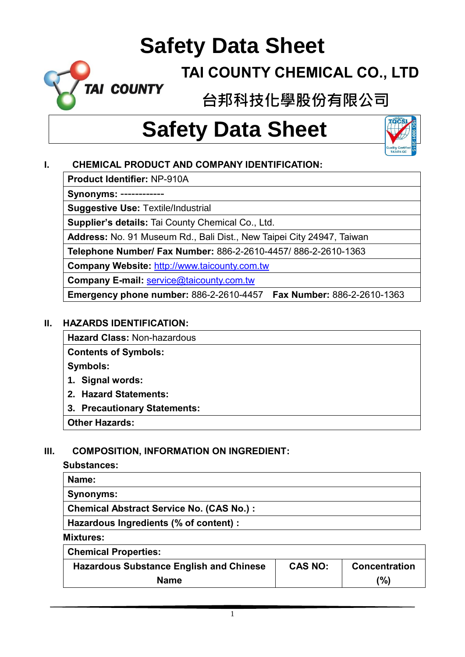### **TAI COUNTY CHEMICAL CO., LTD**

**台邦科技化學股份有限公司**

# **Safety Data Sheet**



### **I. CHEMICAL PRODUCT AND COMPANY IDENTIFICATION:**

**Product Identifier:** NP-910A

**TAI COUNTY** 

**Synonyms:** ------------

**Suggestive Use:** Textile/Industrial

**Supplier's details:** Tai County Chemical Co., Ltd.

**Address:** No. 91 Museum Rd., Bali Dist., New Taipei City 24947, Taiwan

**Telephone Number/ Fax Number:** 886-2-2610-4457/ 886-2-2610-1363

**Company Website:** [http://www.taicounty.com.tw](http://www.taicounty.com.tw/)

**Company E-mail:** [service@taicounty.com.tw](mailto:service@taicounty.com.tw)

**Emergency phone number:** 886-2-2610-4457 **Fax Number:** 886-2-2610-1363

#### **II. HAZARDS IDENTIFICATION:**

**Hazard Class:** Non-hazardous

**Contents of Symbols:**

**Symbols:**

- **1. Signal words:**
- **2. Hazard Statements:**
- **3. Precautionary Statements:**

**Other Hazards:**

### **III. COMPOSITION, INFORMATION ON INGREDIENT:**

#### **Substances:**

| Name:                                           |
|-------------------------------------------------|
| <b>Synonyms:</b>                                |
| <b>Chemical Abstract Service No. (CAS No.):</b> |
| Hazardous Ingredients (% of content) :          |

**Mixtures:**

**Chemical Properties:**

| <b>Hazardous Substance English and Chinese</b> | <b>CAS NO:</b> | <b>Concentration</b> |
|------------------------------------------------|----------------|----------------------|
| <b>Name</b>                                    |                | '%)                  |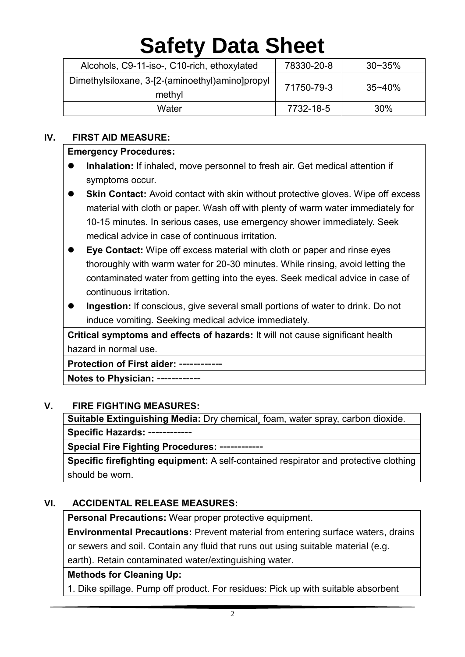| Alcohols, C9-11-iso-, C10-rich, ethoxylated               | 78330-20-8 | $30 - 35\%$ |
|-----------------------------------------------------------|------------|-------------|
| Dimethylsiloxane, 3-[2-(aminoethyl)amino]propyl<br>methyl | 71750-79-3 | $35 - 40%$  |
| Water                                                     | 7732-18-5  | 30%         |

#### **IV. FIRST AID MEASURE:**

#### **Emergency Procedures:**

- **Inhalation:** If inhaled, move personnel to fresh air. Get medical attention if symptoms occur.
- **Skin Contact:** Avoid contact with skin without protective gloves. Wipe off excess material with cloth or paper. Wash off with plenty of warm water immediately for 10-15 minutes. In serious cases, use emergency shower immediately. Seek medical advice in case of continuous irritation.
- **Eye Contact:** Wipe off excess material with cloth or paper and rinse eyes thoroughly with warm water for 20-30 minutes. While rinsing, avoid letting the contaminated water from getting into the eyes. Seek medical advice in case of continuous irritation.
- **Ingestion:** If conscious, give several small portions of water to drink. Do not induce vomiting. Seeking medical advice immediately.

**Critical symptoms and effects of hazards:** It will not cause significant health hazard in normal use.

**Protection of First aider:** ------------

**Notes to Physician:** ------------

#### **V. FIRE FIGHTING MEASURES:**

**Suitable Extinguishing Media:** Dry chemical¸ foam, water spray, carbon dioxide. **Specific Hazards:** ------------

**Special Fire Fighting Procedures:** ------------

**Specific firefighting equipment:** A self-contained respirator and protective clothing should be worn.

#### **VI. ACCIDENTAL RELEASE MEASURES:**

**Personal Precautions:** Wear proper protective equipment.

**Environmental Precautions:** Prevent material from entering surface waters, drains or sewers and soil. Contain any fluid that runs out using suitable material (e.g. earth). Retain contaminated water/extinguishing water.

#### **Methods for Cleaning Up:**

1. Dike spillage. Pump off product. For residues: Pick up with suitable absorbent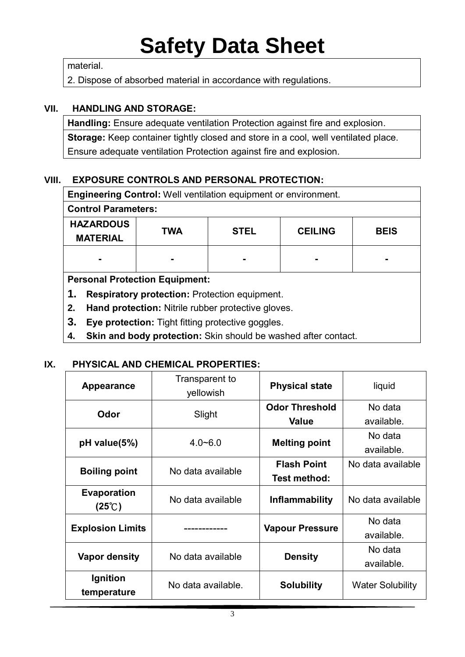material.

2. Dispose of absorbed material in accordance with regulations.

#### **VII. HANDLING AND STORAGE:**

**Handling:** Ensure adequate ventilation Protection against fire and explosion. **Storage:** Keep container tightly closed and store in a cool, well ventilated place. Ensure adequate ventilation Protection against fire and explosion.

#### **VIII. EXPOSURE CONTROLS AND PERSONAL PROTECTION:**

| <b>Engineering Control:</b> Well ventilation equipment or environment. |            |             |                |             |
|------------------------------------------------------------------------|------------|-------------|----------------|-------------|
| <b>Control Parameters:</b>                                             |            |             |                |             |
| <b>HAZARDOUS</b>                                                       | <b>TWA</b> | <b>STEL</b> | <b>CEILING</b> | <b>BEIS</b> |
| <b>MATERIAL</b>                                                        |            |             |                |             |
| $\blacksquare$                                                         |            |             |                |             |
|                                                                        |            |             |                |             |
| <b>Personal Protection Equipment:</b>                                  |            |             |                |             |
| 1.<br><b>Respiratory protection: Protection equipment.</b>             |            |             |                |             |
| Hand protection: Nitrile rubber protective gloves.<br>2.               |            |             |                |             |
| 3.<br>Eye protection: Tight fitting protective goggles.                |            |             |                |             |

**4. Skin and body protection:** Skin should be washed after contact.

#### **IX. PHYSICAL AND CHEMICAL PROPERTIES:**

| Appearance                                   | Transparent to<br>yellowish | <b>Physical state</b>  | liquid                  |
|----------------------------------------------|-----------------------------|------------------------|-------------------------|
| Odor                                         | Slight                      | <b>Odor Threshold</b>  | No data                 |
|                                              |                             | <b>Value</b>           | available.              |
| $pH$ value(5%)                               | $4.0 - 6.0$                 | <b>Melting point</b>   | No data                 |
|                                              |                             |                        | available.              |
| <b>Boiling point</b>                         | No data available           | <b>Flash Point</b>     | No data available       |
|                                              |                             | Test method:           |                         |
| <b>Evaporation</b><br>$(25^{\circ}\text{C})$ | No data available           | <b>Inflammability</b>  | No data available       |
| <b>Explosion Limits</b>                      |                             | <b>Vapour Pressure</b> | No data<br>available.   |
| Vapor density                                | No data available           | <b>Density</b>         | No data<br>available.   |
| Ignition<br>temperature                      | No data available.          | <b>Solubility</b>      | <b>Water Solubility</b> |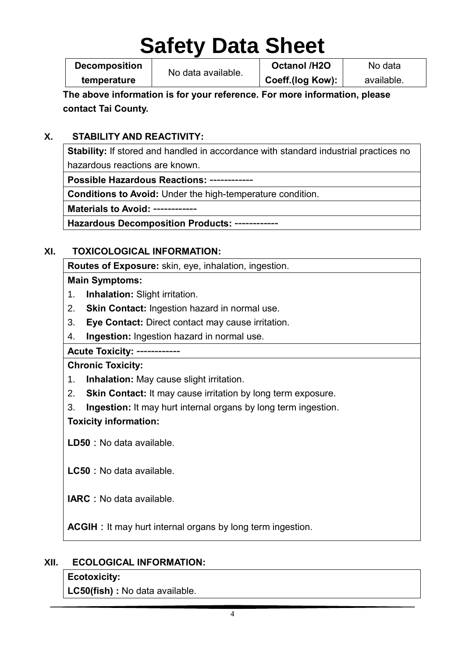**Decomposition temperature**

No data available.

**Octanol /H2O Coeff.(log Kow):**

No data available.

**The above information is for your reference. For more information, please contact Tai County.**

### **X. STABILITY AND REACTIVITY:**

**Stability:** If stored and handled in accordance with standard industrial practices no hazardous reactions are known.

**Possible Hazardous Reactions:** ------------

**Conditions to Avoid:** Under the high-temperature condition.

**Materials to Avoid:** ------------

**Hazardous Decomposition Products:** ------------

### **XI. TOXICOLOGICAL INFORMATION:**

**Routes of Exposure:** skin, eye, inhalation, ingestion.

#### **Main Symptoms:**

- 1. **Inhalation:** Slight irritation.
- 2. **Skin Contact:** Ingestion hazard in normal use.
- 3. **Eye Contact:** Direct contact may cause irritation.
- 4. **Ingestion:** Ingestion hazard in normal use.

#### **Acute Toxicity:** ------------

### **Chronic Toxicity:**

- 1. **Inhalation:** May cause slight irritation.
- 2. **Skin Contact:** It may cause irritation by long term exposure.
- 3. **Ingestion:** It may hurt internal organs by long term ingestion.

### **Toxicity information:**

**LD50:**No data available.

**LC50:**No data available.

**IARC**: No data available.

**ACGIH:**It may hurt internal organs by long term ingestion.

### **XII. ECOLOGICAL INFORMATION:**

### **Ecotoxicity:**

**LC50(fish) :** No data available.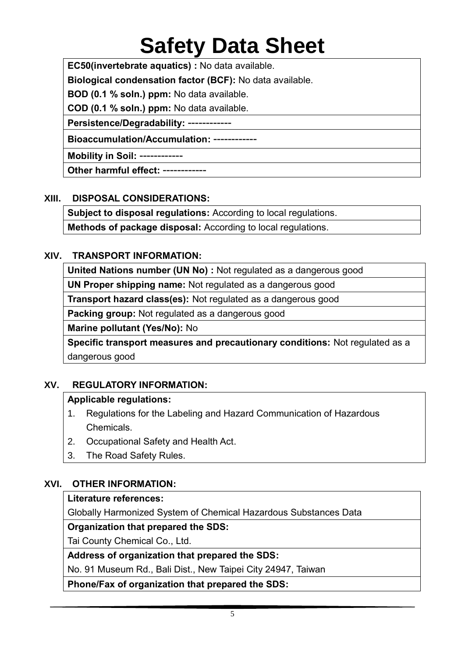**EC50(invertebrate aquatics) :** No data available.

**Biological condensation factor (BCF):** No data available.

**BOD (0.1 % soln.) ppm:** No data available.

**COD (0.1 % soln.) ppm:** No data available.

**Persistence/Degradability:** ------------

**Bioaccumulation/Accumulation:** ------------

**Mobility in Soil:** ------------

**Other harmful effect:** ------------

#### **XIII. DISPOSAL CONSIDERATIONS:**

**Subject to disposal regulations:** According to local regulations.

**Methods of package disposal:** According to local regulations.

#### **XIV. TRANSPORT INFORMATION:**

**United Nations number (UN No) :** Not regulated as a dangerous good

**UN Proper shipping name:** Not regulated as a dangerous good

**Transport hazard class(es):** Not regulated as a dangerous good

**Packing group:** Not regulated as a dangerous good

**Marine pollutant (Yes/No):** No

**Specific transport measures and precautionary conditions:** Not regulated as a dangerous good

### **XV. REGULATORY INFORMATION:**

#### **Applicable regulations:**

- 1. Regulations for the Labeling and Hazard Communication of Hazardous Chemicals.
- 2. Occupational Safety and Health Act.
- 3. The Road Safety Rules.

### **XVI. OTHER INFORMATION:**

#### **Literature references:**

Globally Harmonized System of Chemical Hazardous Substances Data

#### **Organization that prepared the SDS:**

Tai County Chemical Co., Ltd.

**Address of organization that prepared the SDS:**

No. 91 Museum Rd., Bali Dist., New Taipei City 24947, Taiwan

**Phone/Fax of organization that prepared the SDS:**